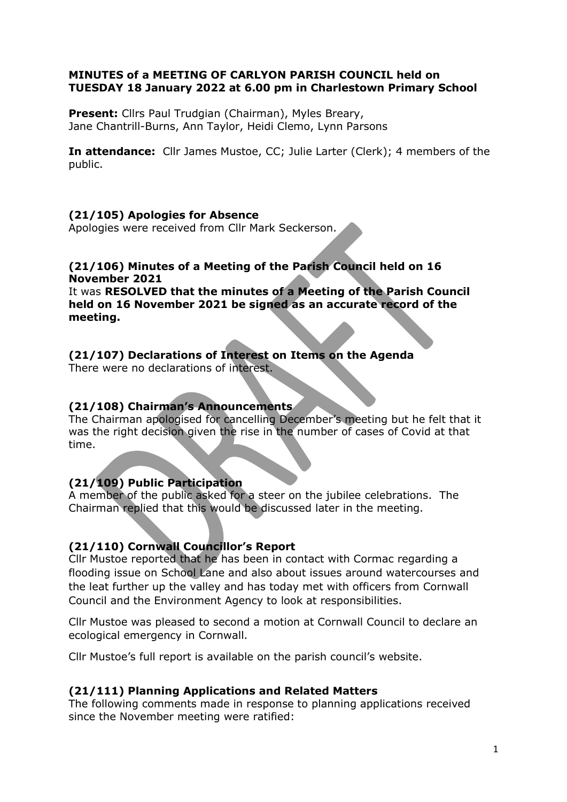#### MINUTES of a MEETING OF CARLYON PARISH COUNCIL held on TUESDAY 18 January 2022 at 6.00 pm in Charlestown Primary School

Present: Cllrs Paul Trudgian (Chairman), Myles Breary, Jane Chantrill-Burns, Ann Taylor, Heidi Clemo, Lynn Parsons

In attendance: Cllr James Mustoe, CC; Julie Larter (Clerk); 4 members of the public.

### (21/105) Apologies for Absence

Apologies were received from Cllr Mark Seckerson.

### (21/106) Minutes of a Meeting of the Parish Council held on 16 November 2021

It was RESOLVED that the minutes of a Meeting of the Parish Council held on 16 November 2021 be signed as an accurate record of the meeting.

# (21/107) Declarations of Interest on Items on the Agenda

There were no declarations of interest.

### (21/108) Chairman's Announcements

The Chairman apologised for cancelling December's meeting but he felt that it was the right decision given the rise in the number of cases of Covid at that time.

# (21/109) Public Participation

A member of the public asked for a steer on the jubilee celebrations. The Chairman replied that this would be discussed later in the meeting.

### (21/110) Cornwall Councillor's Report

Cllr Mustoe reported that he has been in contact with Cormac regarding a flooding issue on School Lane and also about issues around watercourses and the leat further up the valley and has today met with officers from Cornwall Council and the Environment Agency to look at responsibilities.

Cllr Mustoe was pleased to second a motion at Cornwall Council to declare an ecological emergency in Cornwall.

Cllr Mustoe's full report is available on the parish council's website.

### (21/111) Planning Applications and Related Matters

The following comments made in response to planning applications received since the November meeting were ratified: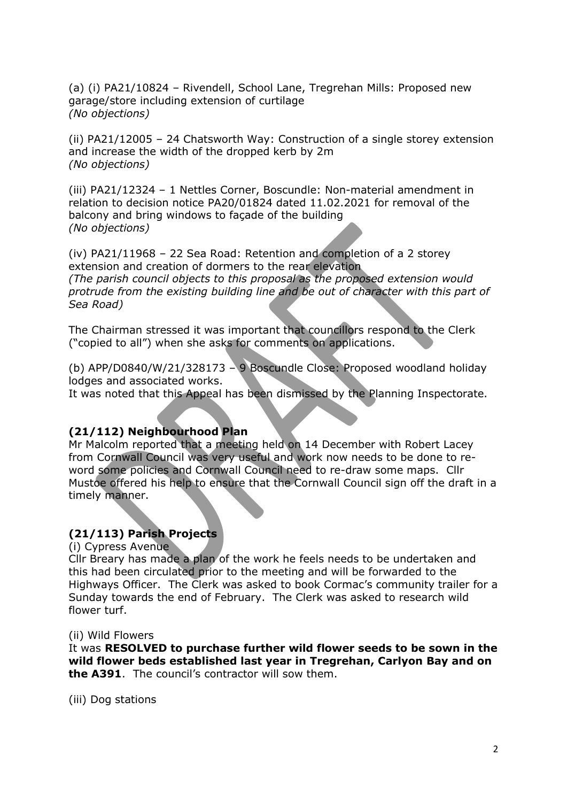(a) (i) PA21/10824 – Rivendell, School Lane, Tregrehan Mills: Proposed new garage/store including extension of curtilage (No objections)

(ii) PA21/12005 – 24 Chatsworth Way: Construction of a single storey extension and increase the width of the dropped kerb by 2m (No objections)

(iii) PA21/12324 – 1 Nettles Corner, Boscundle: Non-material amendment in relation to decision notice PA20/01824 dated 11.02.2021 for removal of the balcony and bring windows to façade of the building (No objections)

(iv) PA21/11968 – 22 Sea Road: Retention and completion of a 2 storey extension and creation of dormers to the rear elevation (The parish council objects to this proposal as the proposed extension would

protrude from the existing building line and be out of character with this part of Sea Road)

The Chairman stressed it was important that councillors respond to the Clerk ("copied to all") when she asks for comments on applications.

(b) APP/D0840/W/21/328173 – 9 Boscundle Close: Proposed woodland holiday lodges and associated works.

It was noted that this Appeal has been dismissed by the Planning Inspectorate.

### (21/112) Neighbourhood Plan

Mr Malcolm reported that a meeting held on 14 December with Robert Lacey from Cornwall Council was very useful and work now needs to be done to reword some policies and Cornwall Council need to re-draw some maps. Cllr Mustoe offered his help to ensure that the Cornwall Council sign off the draft in a timely manner.

# (21/113) Parish Projects

(i) Cypress Avenue

Cllr Breary has made a plan of the work he feels needs to be undertaken and this had been circulated prior to the meeting and will be forwarded to the Highways Officer. The Clerk was asked to book Cormac's community trailer for a Sunday towards the end of February. The Clerk was asked to research wild flower turf.

#### (ii) Wild Flowers

It was RESOLVED to purchase further wild flower seeds to be sown in the wild flower beds established last year in Tregrehan, Carlyon Bay and on the A391. The council's contractor will sow them.

(iii) Dog stations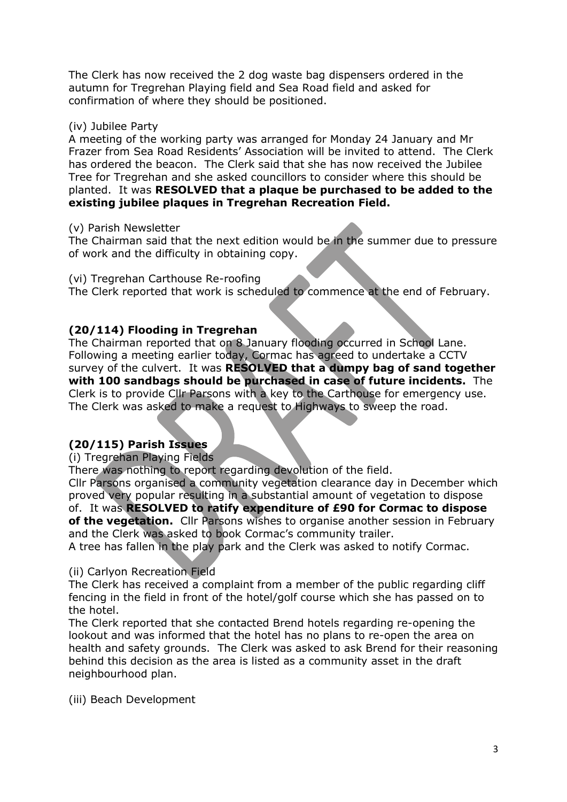The Clerk has now received the 2 dog waste bag dispensers ordered in the autumn for Tregrehan Playing field and Sea Road field and asked for confirmation of where they should be positioned.

#### (iv) Jubilee Party

A meeting of the working party was arranged for Monday 24 January and Mr Frazer from Sea Road Residents' Association will be invited to attend. The Clerk has ordered the beacon. The Clerk said that she has now received the Jubilee Tree for Tregrehan and she asked councillors to consider where this should be planted. It was RESOLVED that a plaque be purchased to be added to the existing jubilee plaques in Tregrehan Recreation Field.

#### (v) Parish Newsletter

The Chairman said that the next edition would be in the summer due to pressure of work and the difficulty in obtaining copy.

(vi) Tregrehan Carthouse Re-roofing

The Clerk reported that work is scheduled to commence at the end of February.

### (20/114) Flooding in Tregrehan

The Chairman reported that on 8 January flooding occurred in School Lane. Following a meeting earlier today, Cormac has agreed to undertake a CCTV survey of the culvert. It was RESOLVED that a dumpy bag of sand together with 100 sandbags should be purchased in case of future incidents. The Clerk is to provide Cllr Parsons with a key to the Carthouse for emergency use. The Clerk was asked to make a request to Highways to sweep the road.

# (20/115) Parish Issues

(i) Tregrehan Playing Fields

There was nothing to report regarding devolution of the field.

Cllr Parsons organised a community vegetation clearance day in December which proved very popular resulting in a substantial amount of vegetation to dispose of. It was RESOLVED to ratify expenditure of £90 for Cormac to dispose of the vegetation. Cllr Parsons wishes to organise another session in February and the Clerk was asked to book Cormac's community trailer.

A tree has fallen in the play park and the Clerk was asked to notify Cormac.

### (ii) Carlyon Recreation Field

The Clerk has received a complaint from a member of the public regarding cliff fencing in the field in front of the hotel/golf course which she has passed on to the hotel.

The Clerk reported that she contacted Brend hotels regarding re-opening the lookout and was informed that the hotel has no plans to re-open the area on health and safety grounds. The Clerk was asked to ask Brend for their reasoning behind this decision as the area is listed as a community asset in the draft neighbourhood plan.

(iii) Beach Development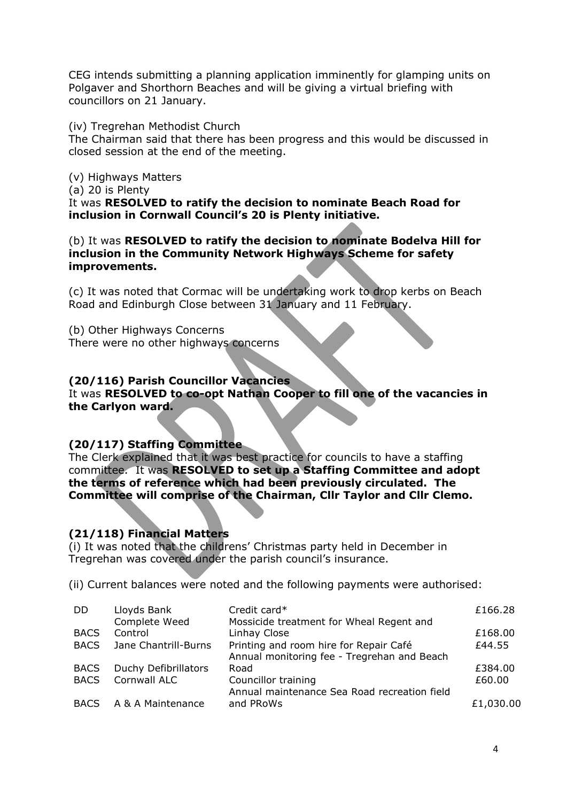CEG intends submitting a planning application imminently for glamping units on Polgaver and Shorthorn Beaches and will be giving a virtual briefing with councillors on 21 January.

(iv) Tregrehan Methodist Church

The Chairman said that there has been progress and this would be discussed in closed session at the end of the meeting.

(v) Highways Matters

(a) 20 is Plenty

It was RESOLVED to ratify the decision to nominate Beach Road for inclusion in Cornwall Council's 20 is Plenty initiative.

(b) It was RESOLVED to ratify the decision to nominate Bodelva Hill for inclusion in the Community Network Highways Scheme for safety improvements.

(c) It was noted that Cormac will be undertaking work to drop kerbs on Beach Road and Edinburgh Close between 31 January and 11 February.

(b) Other Highways Concerns There were no other highways concerns

### (20/116) Parish Councillor Vacancies

It was RESOLVED to co-opt Nathan Cooper to fill one of the vacancies in the Carlyon ward.

### (20/117) Staffing Committee

The Clerk explained that it was best practice for councils to have a staffing committee. It was RESOLVED to set up a Staffing Committee and adopt the terms of reference which had been previously circulated. The Committee will comprise of the Chairman, Cllr Taylor and Cllr Clemo.

### (21/118) Financial Matters

(i) It was noted that the childrens' Christmas party held in December in Tregrehan was covered under the parish council's insurance.

(ii) Current balances were noted and the following payments were authorised:

| <b>DD</b>   | Lloyds Bank          | Credit card*                                 | £166.28   |
|-------------|----------------------|----------------------------------------------|-----------|
|             | Complete Weed        | Mossicide treatment for Wheal Regent and     |           |
| <b>BACS</b> | Control              | Linhay Close                                 | £168.00   |
| <b>BACS</b> | Jane Chantrill-Burns | Printing and room hire for Repair Café       | £44.55    |
|             |                      | Annual monitoring fee - Tregrehan and Beach  |           |
| <b>BACS</b> | Duchy Defibrillators | Road                                         | £384.00   |
| <b>BACS</b> | Cornwall ALC         | Councillor training                          | £60.00    |
|             |                      | Annual maintenance Sea Road recreation field |           |
| <b>BACS</b> | A & A Maintenance    | and PRoWs                                    | £1,030.00 |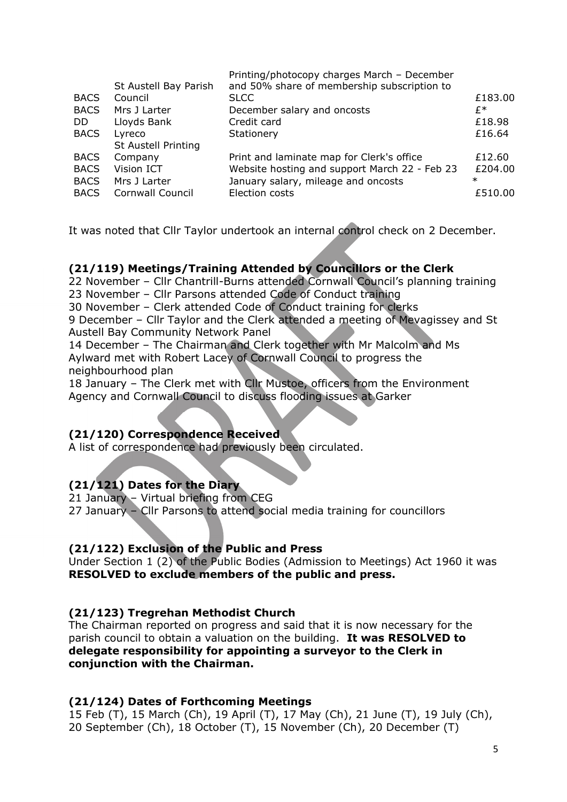|             | St Austell Bay Parish      | Printing/photocopy charges March - December<br>and 50% share of membership subscription to |         |
|-------------|----------------------------|--------------------------------------------------------------------------------------------|---------|
| <b>BACS</b> | Council                    | <b>SLCC</b>                                                                                | £183.00 |
| <b>BACS</b> | Mrs J Larter               | December salary and oncosts                                                                | £*      |
| DD.         | Lloyds Bank                | Credit card                                                                                | £18.98  |
| <b>BACS</b> | Lyreco                     | Stationery                                                                                 | £16.64  |
|             | <b>St Austell Printing</b> |                                                                                            |         |
| <b>BACS</b> | Company                    | Print and laminate map for Clerk's office                                                  | £12.60  |
| <b>BACS</b> | Vision ICT                 | Website hosting and support March 22 - Feb 23                                              | £204.00 |
| <b>BACS</b> | Mrs J Larter               | January salary, mileage and oncosts                                                        | $\ast$  |
| <b>BACS</b> | Cornwall Council           | Election costs                                                                             | £510.00 |
|             |                            |                                                                                            |         |

It was noted that Cllr Taylor undertook an internal control check on 2 December.

### (21/119) Meetings/Training Attended by Councillors or the Clerk

22 November – Cllr Chantrill-Burns attended Cornwall Council's planning training 23 November – Cllr Parsons attended Code of Conduct training

30 November – Clerk attended Code of Conduct training for clerks

9 December – Cllr Taylor and the Clerk attended a meeting of Mevagissey and St Austell Bay Community Network Panel

14 December – The Chairman and Clerk together with Mr Malcolm and Ms Aylward met with Robert Lacey of Cornwall Council to progress the neighbourhood plan

18 January – The Clerk met with Cllr Mustoe, officers from the Environment Agency and Cornwall Council to discuss flooding issues at Garker

### (21/120) Correspondence Received

A list of correspondence had previously been circulated.

# (21/121) Dates for the Diary

21 January – Virtual briefing from CEG

27 January – Cllr Parsons to attend social media training for councillors

### (21/122) Exclusion of the Public and Press

Under Section 1 (2) of the Public Bodies (Admission to Meetings) Act 1960 it was RESOLVED to exclude members of the public and press.

### (21/123) Tregrehan Methodist Church

The Chairman reported on progress and said that it is now necessary for the parish council to obtain a valuation on the building. It was RESOLVED to delegate responsibility for appointing a surveyor to the Clerk in conjunction with the Chairman.

### (21/124) Dates of Forthcoming Meetings

15 Feb (T), 15 March (Ch), 19 April (T), 17 May (Ch), 21 June (T), 19 July (Ch), 20 September (Ch), 18 October (T), 15 November (Ch), 20 December (T)